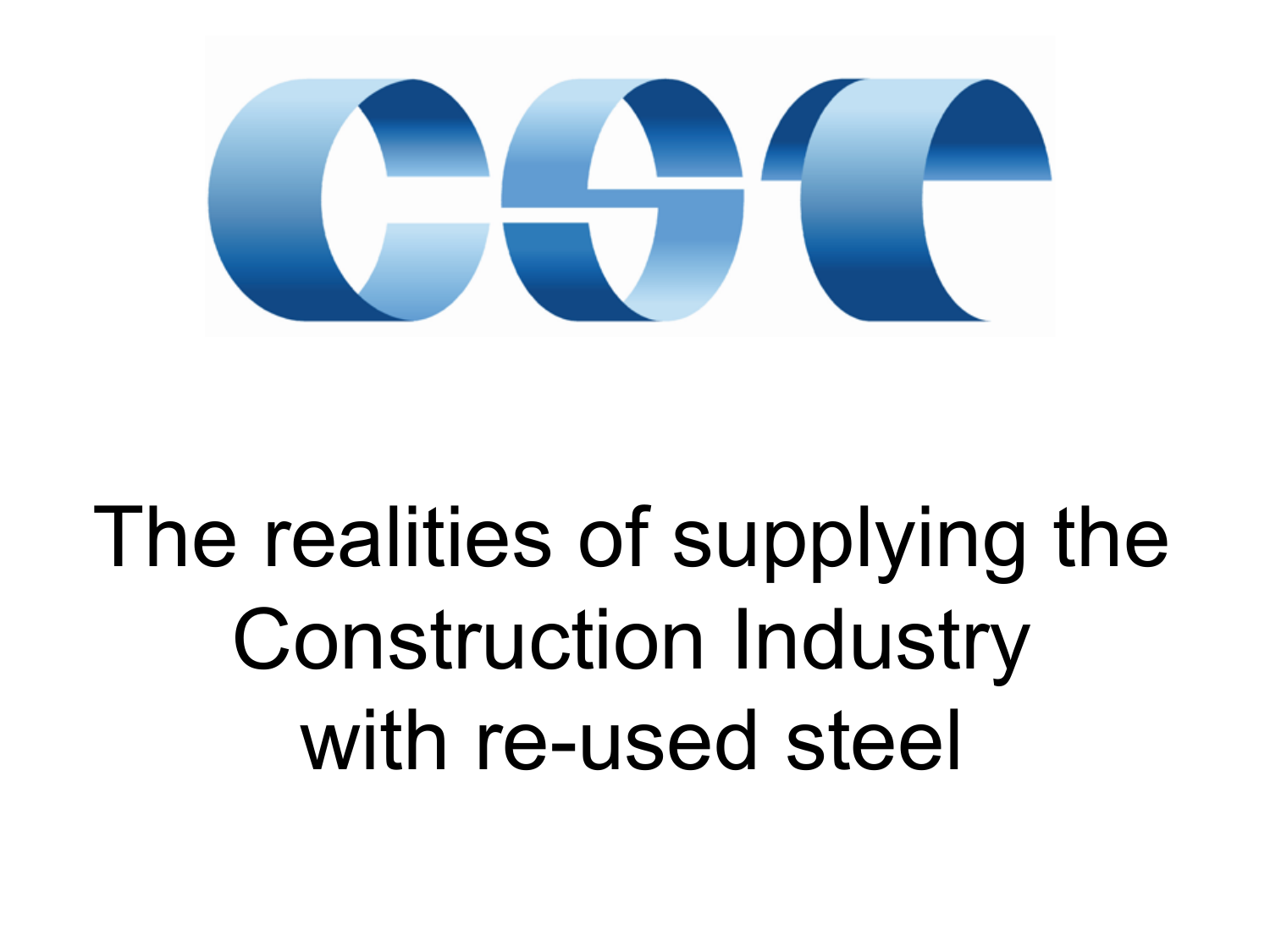

### The realities of supplying the Construction Industry with re-used steel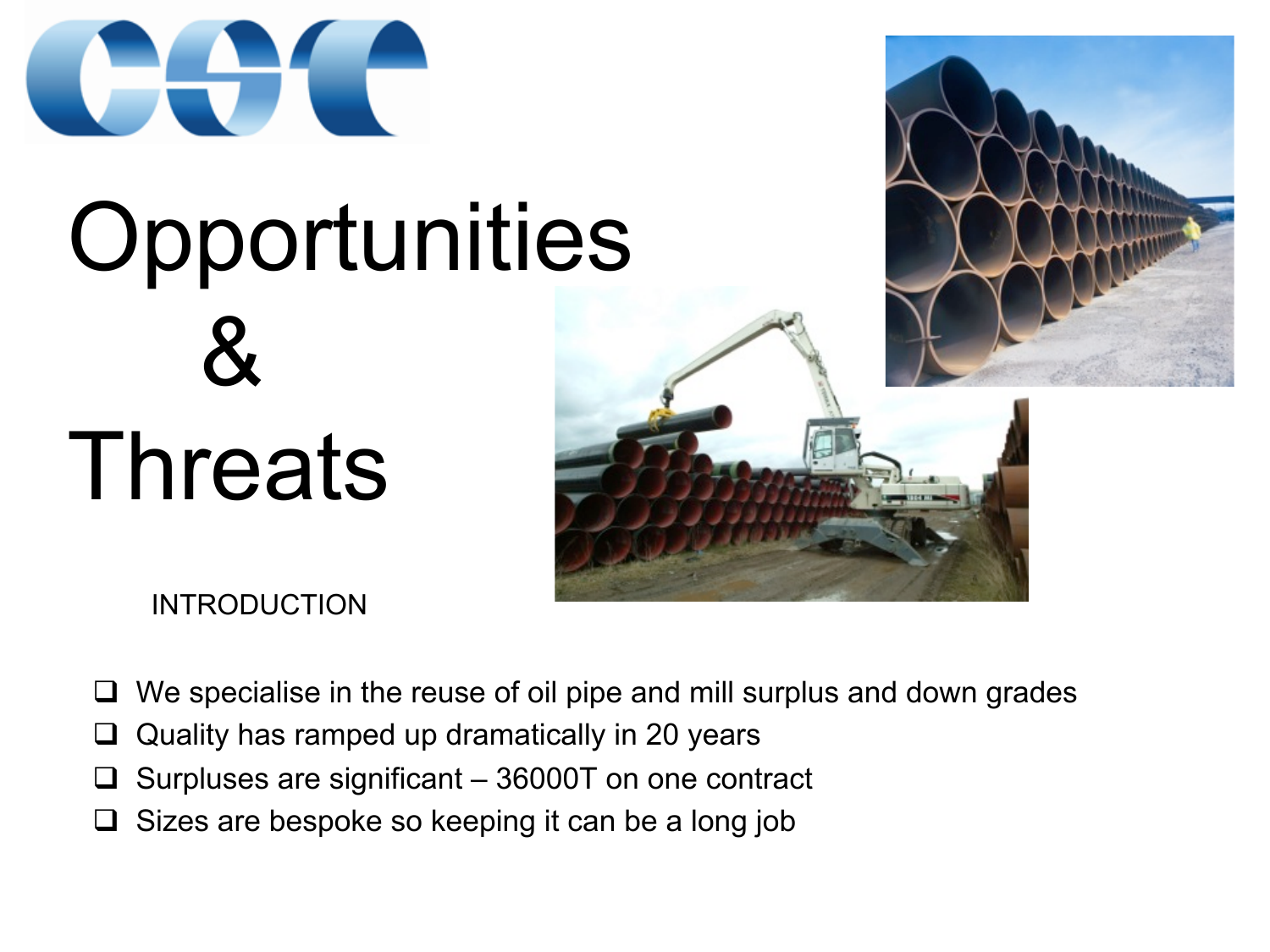

# **Opportunities**  & **Threats**



INTRODUCTION

- $\Box$  We specialise in the reuse of oil pipe and mill surplus and down grades
- $\Box$  Quality has ramped up dramatically in 20 years
- $\Box$  Surpluses are significant 36000T on one contract
- $\Box$  Sizes are bespoke so keeping it can be a long job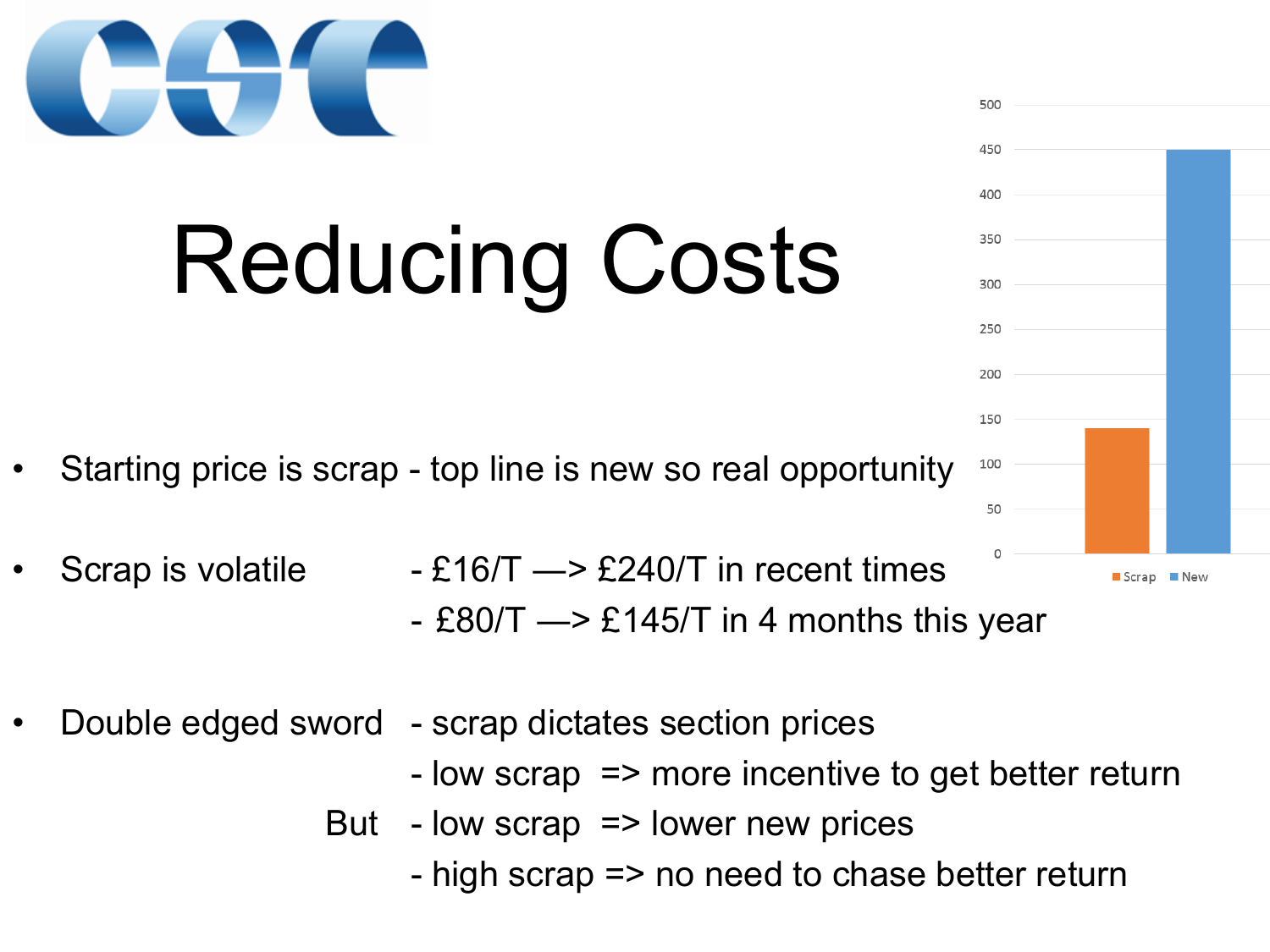

## Reducing Costs

- Starting price is scrap top line is new so real opportunity
- Scrap is volatile  $-E16/T \rightarrow E240/T$  in recent times
	- £80/T  $\rightarrow$  £145/T in 4 months this year
- Double edged sword scrap dictates section prices
	- low scrap => more incentive to get better return
	- But low scrap => lower new prices
		- high scrap => no need to chase better return

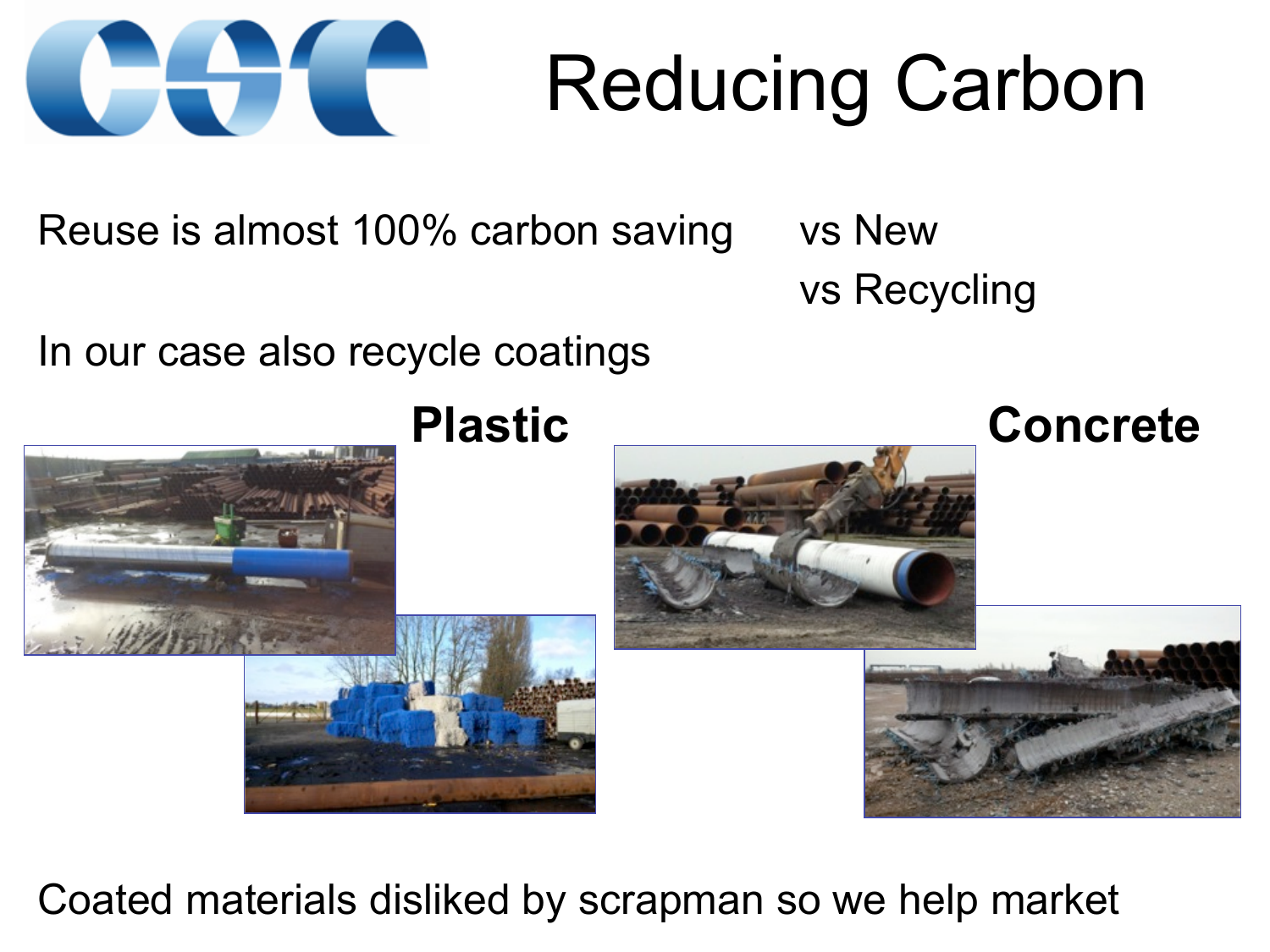

### Reducing Carbon

Reuse is almost 100% carbon saving vs New

vs Recycling

In our case also recycle coatings



Coated materials disliked by scrapman so we help market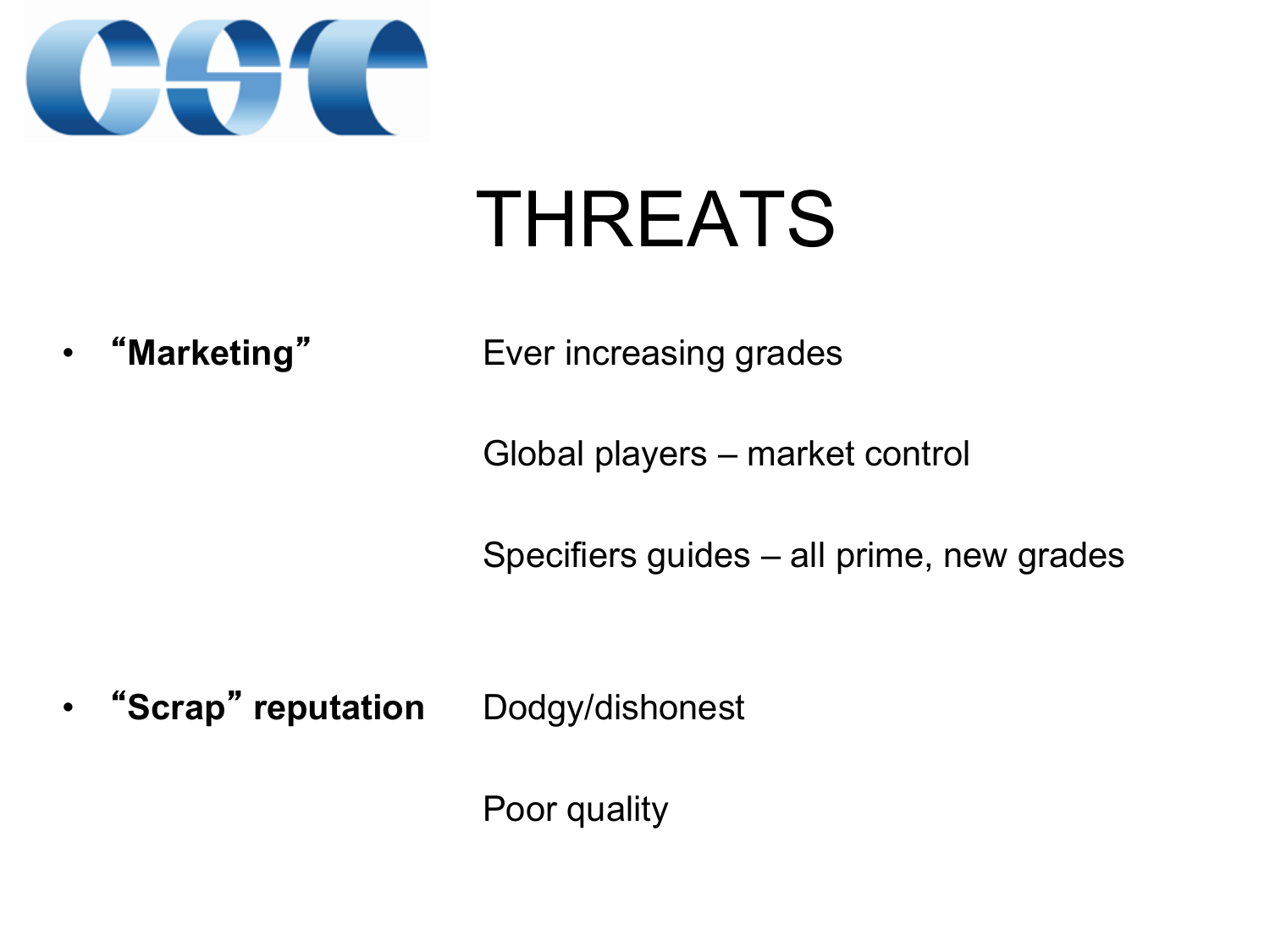

#### THREATS

 $\bullet$ 

"**Marketing"** Ever increasing grades

Global players – market control

Specifiers guides – all prime, new grades

 $\bullet$ "**Scrap**" **reputation** Dodgy/dishonest

Poor quality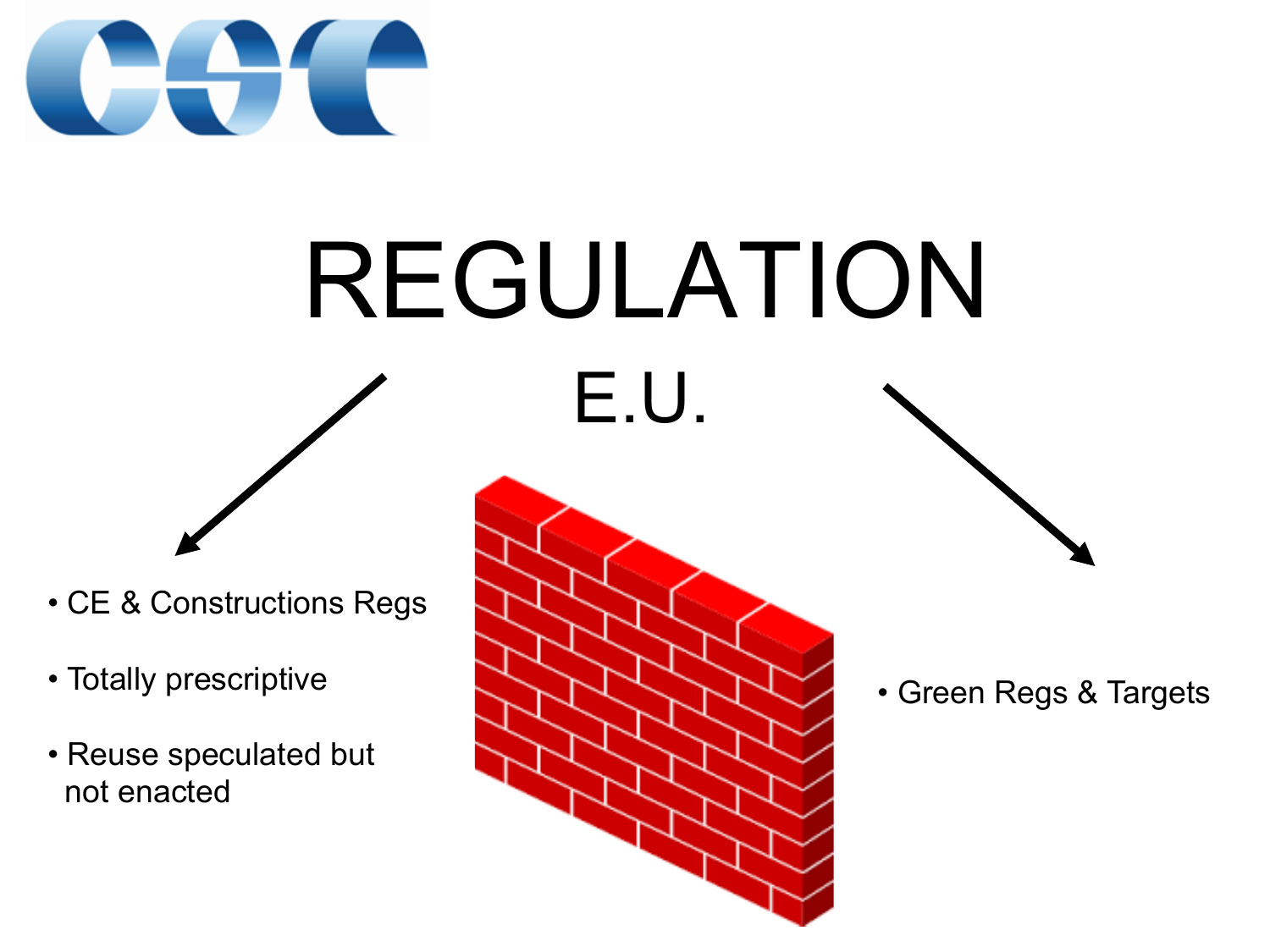

### REGULATION E.U.

- CE & Constructions Regs
- Totally prescriptive
- Reuse speculated but not enacted



• Green Regs & Targets